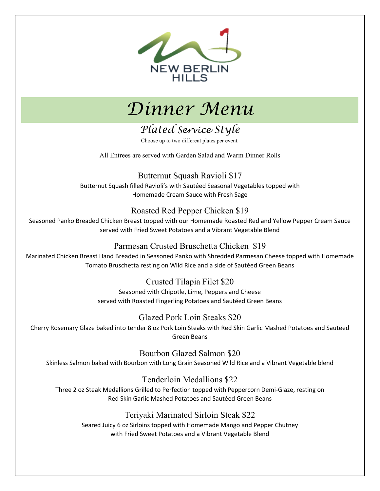



# *Plated Service Style*

Choose up to two different plates per event.

All Entrees are served with Garden Salad and Warm Dinner Rolls

Butternut Squash Ravioli \$17 Butternut Squash filled Ravioli's with Sautéed Seasonal Vegetables topped with Homemade Cream Sauce with Fresh Sage

### Roasted Red Pepper Chicken \$19

Seasoned Panko Breaded Chicken Breast topped with our Homemade Roasted Red and Yellow Pepper Cream Sauce served with Fried Sweet Potatoes and a Vibrant Vegetable Blend

### Parmesan Crusted Bruschetta Chicken \$19

Marinated Chicken Breast Hand Breaded in Seasoned Panko with Shredded Parmesan Cheese topped with Homemade Tomato Bruschetta resting on Wild Rice and a side of Sautéed Green Beans

> Crusted Tilapia Filet \$20 Seasoned with Chipotle, Lime, Peppers and Cheese served with Roasted Fingerling Potatoes and Sautéed Green Beans

Glazed Pork Loin Steaks \$20

Cherry Rosemary Glaze baked into tender 8 oz Pork Loin Steaks with Red Skin Garlic Mashed Potatoes and Sautéed Green Beans

Bourbon Glazed Salmon \$20 Skinless Salmon baked with Bourbon with Long Grain Seasoned Wild Rice and a Vibrant Vegetable blend

### Tenderloin Medallions \$22

Three 2 oz Steak Medallions Grilled to Perfection topped with Peppercorn Demi-Glaze, resting on Red Skin Garlic Mashed Potatoes and Sautéed Green Beans

### Teriyaki Marinated Sirloin Steak \$22

Seared Juicy 6 oz Sirloins topped with Homemade Mango and Pepper Chutney with Fried Sweet Potatoes and a Vibrant Vegetable Blend